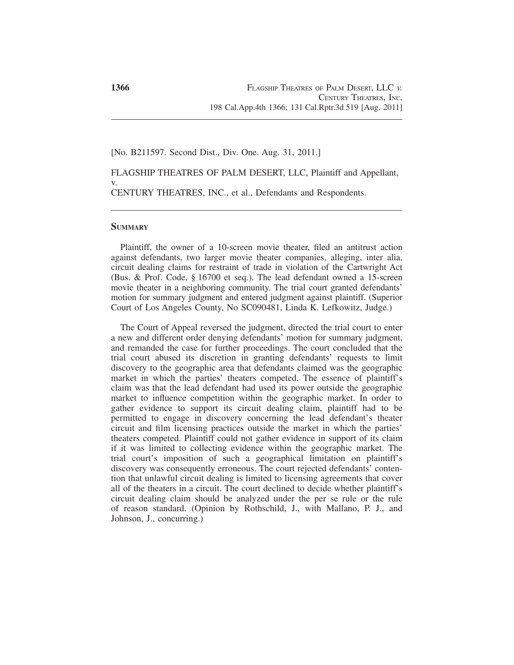## [No. B211597. Second Dist., Div. One. Aug. 31, 2011.]

FLAGSHIP THEATRES OF PALM DESERT, LLC, Plaintiff and Appellant, v. CENTURY THEATRES, INC., et al., Defendants and Respondents.

### **SUMMARY**

Plaintiff, the owner of a 10-screen movie theater, filed an antitrust action against defendants, two larger movie theater companies, alleging, inter alia, circuit dealing claims for restraint of trade in violation of the Cartwright Act (Bus. & Prof. Code, § 16700 et seq.). The lead defendant owned a 15-screen movie theater in a neighboring community. The trial court granted defendants' motion for summary judgment and entered judgment against plaintiff. (Superior Court of Los Angeles County, No SC090481, Linda K. Lefkowitz, Judge.)

The Court of Appeal reversed the judgment, directed the trial court to enter a new and different order denying defendants' motion for summary judgment, and remanded the case for further proceedings. The court concluded that the trial court abused its discretion in granting defendants' requests to limit discovery to the geographic area that defendants claimed was the geographic market in which the parties' theaters competed. The essence of plaintiff's claim was that the lead defendant had used its power outside the geographic market to influence competition within the geographic market. In order to gather evidence to support its circuit dealing claim, plaintiff had to be permitted to engage in discovery concerning the lead defendant's theater circuit and film licensing practices outside the market in which the parties' theaters competed. Plaintiff could not gather evidence in support of its claim if it was limited to collecting evidence within the geographic market. The trial court's imposition of such a geographical limitation on plaintiff's discovery was consequently erroneous. The court rejected defendants' contention that unlawful circuit dealing is limited to licensing agreements that cover all of the theaters in a circuit. The court declined to decide whether plaintiff's circuit dealing claim should be analyzed under the per se rule or the rule of reason standard. (Opinion by Rothschild, J., with Mallano, P. J., and Johnson, J., concurring.)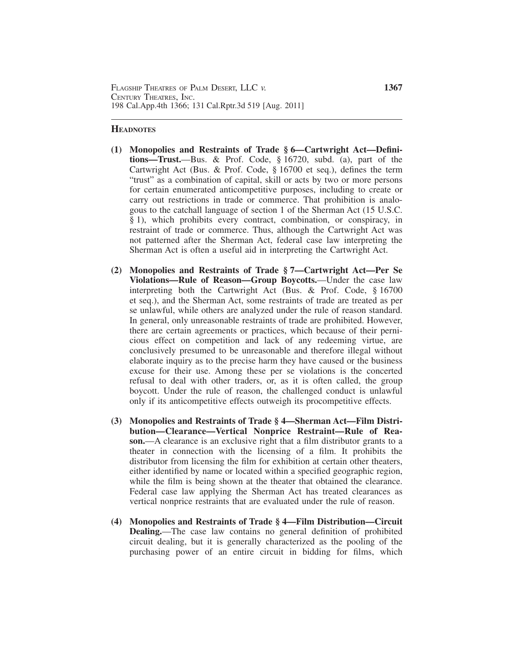## **HEADNOTES**

- **(1) Monopolies and Restraints of Trade § 6—Cartwright Act—Definitions—Trust.**—Bus. & Prof. Code, § 16720, subd. (a), part of the Cartwright Act (Bus. & Prof. Code, § 16700 et seq.), defines the term "trust" as a combination of capital, skill or acts by two or more persons for certain enumerated anticompetitive purposes, including to create or carry out restrictions in trade or commerce. That prohibition is analogous to the catchall language of section 1 of the Sherman Act (15 U.S.C. § 1), which prohibits every contract, combination, or conspiracy, in restraint of trade or commerce. Thus, although the Cartwright Act was not patterned after the Sherman Act, federal case law interpreting the Sherman Act is often a useful aid in interpreting the Cartwright Act.
- **(2) Monopolies and Restraints of Trade § 7—Cartwright Act—Per Se Violations—Rule of Reason—Group Boycotts.**—Under the case law interpreting both the Cartwright Act (Bus. & Prof. Code, § 16700 et seq.), and the Sherman Act, some restraints of trade are treated as per se unlawful, while others are analyzed under the rule of reason standard. In general, only unreasonable restraints of trade are prohibited. However, there are certain agreements or practices, which because of their pernicious effect on competition and lack of any redeeming virtue, are conclusively presumed to be unreasonable and therefore illegal without elaborate inquiry as to the precise harm they have caused or the business excuse for their use. Among these per se violations is the concerted refusal to deal with other traders, or, as it is often called, the group boycott. Under the rule of reason, the challenged conduct is unlawful only if its anticompetitive effects outweigh its procompetitive effects.
- **(3) Monopolies and Restraints of Trade § 4—Sherman Act—Film Distribution—Clearance—Vertical Nonprice Restraint—Rule of Reason.**—A clearance is an exclusive right that a film distributor grants to a theater in connection with the licensing of a film. It prohibits the distributor from licensing the film for exhibition at certain other theaters, either identified by name or located within a specified geographic region, while the film is being shown at the theater that obtained the clearance. Federal case law applying the Sherman Act has treated clearances as vertical nonprice restraints that are evaluated under the rule of reason.
- **(4) Monopolies and Restraints of Trade § 4—Film Distribution—Circuit Dealing.**—The case law contains no general definition of prohibited circuit dealing, but it is generally characterized as the pooling of the purchasing power of an entire circuit in bidding for films, which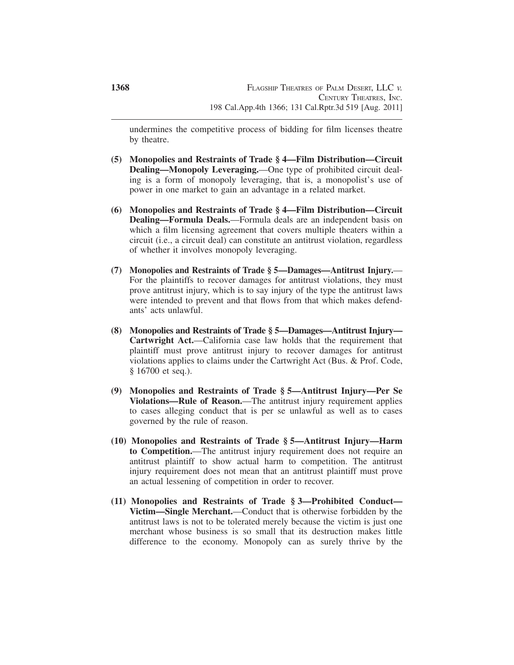undermines the competitive process of bidding for film licenses theatre by theatre.

- **(5) Monopolies and Restraints of Trade § 4—Film Distribution—Circuit Dealing—Monopoly Leveraging.**—One type of prohibited circuit dealing is a form of monopoly leveraging, that is, a monopolist's use of power in one market to gain an advantage in a related market.
- **(6) Monopolies and Restraints of Trade § 4—Film Distribution—Circuit Dealing—Formula Deals.**—Formula deals are an independent basis on which a film licensing agreement that covers multiple theaters within a circuit (i.e., a circuit deal) can constitute an antitrust violation, regardless of whether it involves monopoly leveraging.
- **(7) Monopolies and Restraints of Trade § 5—Damages—Antitrust Injury.** For the plaintiffs to recover damages for antitrust violations, they must prove antitrust injury, which is to say injury of the type the antitrust laws were intended to prevent and that flows from that which makes defendants' acts unlawful.
- **(8) Monopolies and Restraints of Trade § 5—Damages—Antitrust Injury— Cartwright Act.**—California case law holds that the requirement that plaintiff must prove antitrust injury to recover damages for antitrust violations applies to claims under the Cartwright Act (Bus. & Prof. Code, § 16700 et seq.).
- **(9) Monopolies and Restraints of Trade § 5—Antitrust Injury—Per Se Violations—Rule of Reason.**—The antitrust injury requirement applies to cases alleging conduct that is per se unlawful as well as to cases governed by the rule of reason.
- **(10) Monopolies and Restraints of Trade § 5—Antitrust Injury—Harm to Competition.**—The antitrust injury requirement does not require an antitrust plaintiff to show actual harm to competition. The antitrust injury requirement does not mean that an antitrust plaintiff must prove an actual lessening of competition in order to recover.
- **(11) Monopolies and Restraints of Trade § 3—Prohibited Conduct— Victim—Single Merchant.**—Conduct that is otherwise forbidden by the antitrust laws is not to be tolerated merely because the victim is just one merchant whose business is so small that its destruction makes little difference to the economy. Monopoly can as surely thrive by the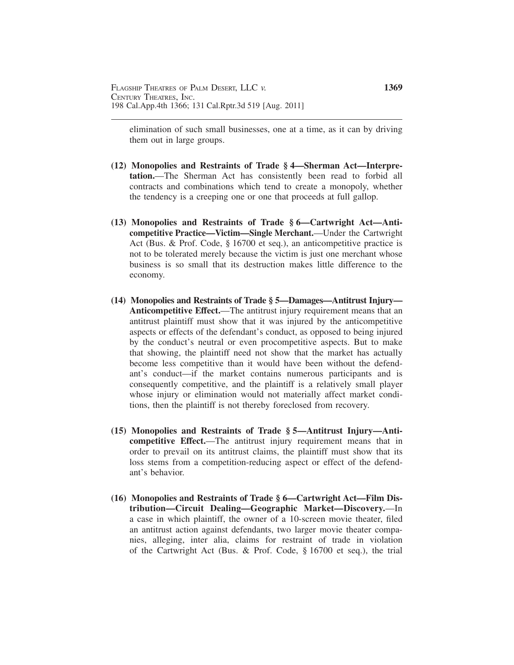elimination of such small businesses, one at a time, as it can by driving them out in large groups.

- **(12) Monopolies and Restraints of Trade § 4—Sherman Act—Interpretation.**—The Sherman Act has consistently been read to forbid all contracts and combinations which tend to create a monopoly, whether the tendency is a creeping one or one that proceeds at full gallop.
- **(13) Monopolies and Restraints of Trade § 6—Cartwright Act—Anticompetitive Practice—Victim—Single Merchant.**—Under the Cartwright Act (Bus. & Prof. Code, § 16700 et seq.), an anticompetitive practice is not to be tolerated merely because the victim is just one merchant whose business is so small that its destruction makes little difference to the economy.
- **(14) Monopolies and Restraints of Trade § 5—Damages—Antitrust Injury— Anticompetitive Effect.**—The antitrust injury requirement means that an antitrust plaintiff must show that it was injured by the anticompetitive aspects or effects of the defendant's conduct, as opposed to being injured by the conduct's neutral or even procompetitive aspects. But to make that showing, the plaintiff need not show that the market has actually become less competitive than it would have been without the defendant's conduct—if the market contains numerous participants and is consequently competitive, and the plaintiff is a relatively small player whose injury or elimination would not materially affect market conditions, then the plaintiff is not thereby foreclosed from recovery.
- **(15) Monopolies and Restraints of Trade § 5—Antitrust Injury—Anticompetitive Effect.**—The antitrust injury requirement means that in order to prevail on its antitrust claims, the plaintiff must show that its loss stems from a competition-reducing aspect or effect of the defendant's behavior.
- **(16) Monopolies and Restraints of Trade § 6—Cartwright Act—Film Distribution—Circuit Dealing—Geographic Market—Discovery.**—In a case in which plaintiff, the owner of a 10-screen movie theater, filed an antitrust action against defendants, two larger movie theater companies, alleging, inter alia, claims for restraint of trade in violation of the Cartwright Act (Bus. & Prof. Code, § 16700 et seq.), the trial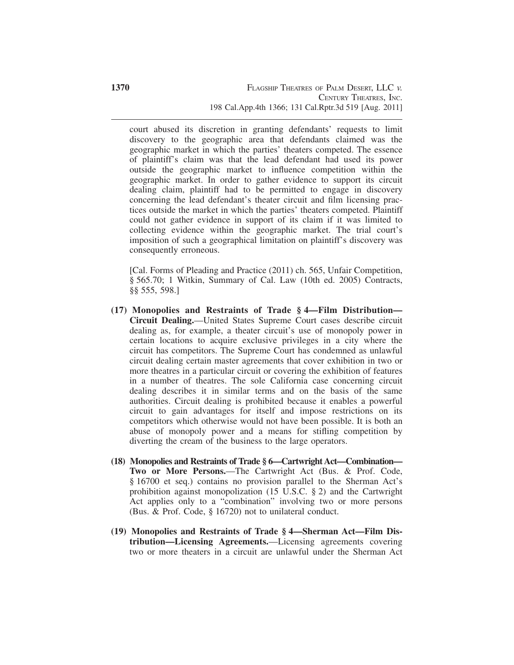court abused its discretion in granting defendants' requests to limit discovery to the geographic area that defendants claimed was the geographic market in which the parties' theaters competed. The essence of plaintiff's claim was that the lead defendant had used its power outside the geographic market to influence competition within the geographic market. In order to gather evidence to support its circuit dealing claim, plaintiff had to be permitted to engage in discovery concerning the lead defendant's theater circuit and film licensing practices outside the market in which the parties' theaters competed. Plaintiff could not gather evidence in support of its claim if it was limited to collecting evidence within the geographic market. The trial court's imposition of such a geographical limitation on plaintiff's discovery was consequently erroneous.

[Cal. Forms of Pleading and Practice (2011) ch. 565, Unfair Competition, § 565.70; 1 Witkin, Summary of Cal. Law (10th ed. 2005) Contracts, §§ 555, 598.]

- **(17) Monopolies and Restraints of Trade § 4—Film Distribution— Circuit Dealing.**—United States Supreme Court cases describe circuit dealing as, for example, a theater circuit's use of monopoly power in certain locations to acquire exclusive privileges in a city where the circuit has competitors. The Supreme Court has condemned as unlawful circuit dealing certain master agreements that cover exhibition in two or more theatres in a particular circuit or covering the exhibition of features in a number of theatres. The sole California case concerning circuit dealing describes it in similar terms and on the basis of the same authorities. Circuit dealing is prohibited because it enables a powerful circuit to gain advantages for itself and impose restrictions on its competitors which otherwise would not have been possible. It is both an abuse of monopoly power and a means for stifling competition by diverting the cream of the business to the large operators.
- **(18) Monopolies and Restraints of Trade § 6—Cartwright Act—Combination— Two or More Persons.**—The Cartwright Act (Bus. & Prof. Code, § 16700 et seq.) contains no provision parallel to the Sherman Act's prohibition against monopolization (15 U.S.C.  $\S$  2) and the Cartwright Act applies only to a "combination" involving two or more persons (Bus. & Prof. Code, § 16720) not to unilateral conduct.
- **(19) Monopolies and Restraints of Trade § 4—Sherman Act—Film Distribution—Licensing Agreements.**—Licensing agreements covering two or more theaters in a circuit are unlawful under the Sherman Act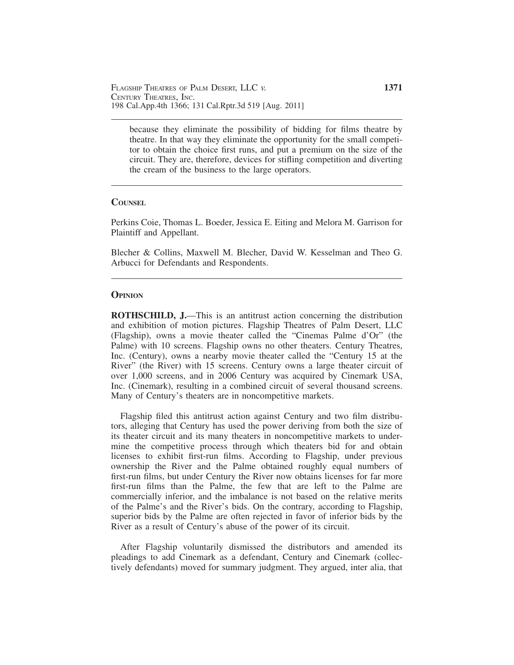because they eliminate the possibility of bidding for films theatre by theatre. In that way they eliminate the opportunity for the small competitor to obtain the choice first runs, and put a premium on the size of the circuit. They are, therefore, devices for stifling competition and diverting the cream of the business to the large operators.

#### **COUNSEL**

Perkins Coie, Thomas L. Boeder, Jessica E. Eiting and Melora M. Garrison for Plaintiff and Appellant.

Blecher & Collins, Maxwell M. Blecher, David W. Kesselman and Theo G. Arbucci for Defendants and Respondents.

## **OPINION**

**ROTHSCHILD, J.**—This is an antitrust action concerning the distribution and exhibition of motion pictures. Flagship Theatres of Palm Desert, LLC (Flagship), owns a movie theater called the "Cinemas Palme d'Or" (the Palme) with 10 screens. Flagship owns no other theaters. Century Theatres, Inc. (Century), owns a nearby movie theater called the "Century 15 at the River" (the River) with 15 screens. Century owns a large theater circuit of over 1,000 screens, and in 2006 Century was acquired by Cinemark USA, Inc. (Cinemark), resulting in a combined circuit of several thousand screens. Many of Century's theaters are in noncompetitive markets.

Flagship filed this antitrust action against Century and two film distributors, alleging that Century has used the power deriving from both the size of its theater circuit and its many theaters in noncompetitive markets to undermine the competitive process through which theaters bid for and obtain licenses to exhibit first-run films. According to Flagship, under previous ownership the River and the Palme obtained roughly equal numbers of first-run films, but under Century the River now obtains licenses for far more first-run films than the Palme, the few that are left to the Palme are commercially inferior, and the imbalance is not based on the relative merits of the Palme's and the River's bids. On the contrary, according to Flagship, superior bids by the Palme are often rejected in favor of inferior bids by the River as a result of Century's abuse of the power of its circuit.

After Flagship voluntarily dismissed the distributors and amended its pleadings to add Cinemark as a defendant, Century and Cinemark (collectively defendants) moved for summary judgment. They argued, inter alia, that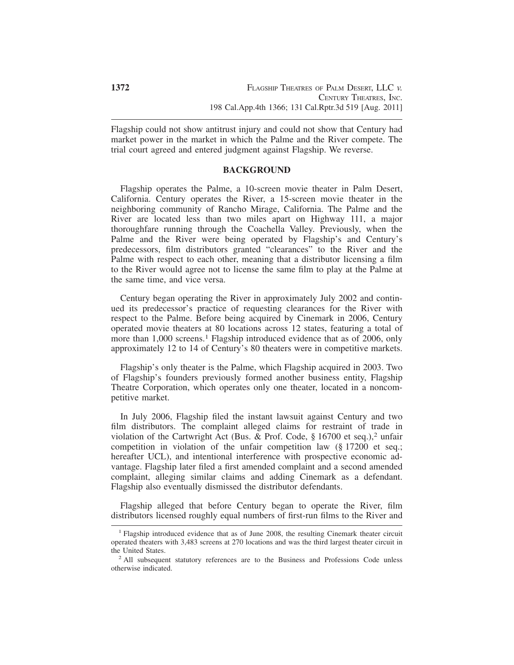Flagship could not show antitrust injury and could not show that Century had market power in the market in which the Palme and the River compete. The trial court agreed and entered judgment against Flagship. We reverse.

### **BACKGROUND**

Flagship operates the Palme, a 10-screen movie theater in Palm Desert, California. Century operates the River, a 15-screen movie theater in the neighboring community of Rancho Mirage, California. The Palme and the River are located less than two miles apart on Highway 111, a major thoroughfare running through the Coachella Valley. Previously, when the Palme and the River were being operated by Flagship's and Century's predecessors, film distributors granted "clearances" to the River and the Palme with respect to each other, meaning that a distributor licensing a film to the River would agree not to license the same film to play at the Palme at the same time, and vice versa.

Century began operating the River in approximately July 2002 and continued its predecessor's practice of requesting clearances for the River with respect to the Palme. Before being acquired by Cinemark in 2006, Century operated movie theaters at 80 locations across 12 states, featuring a total of more than 1,000 screens.<sup>1</sup> Flagship introduced evidence that as of 2006, only approximately 12 to 14 of Century's 80 theaters were in competitive markets.

Flagship's only theater is the Palme, which Flagship acquired in 2003. Two of Flagship's founders previously formed another business entity, Flagship Theatre Corporation, which operates only one theater, located in a noncompetitive market.

In July 2006, Flagship filed the instant lawsuit against Century and two film distributors. The complaint alleged claims for restraint of trade in violation of the Cartwright Act (Bus. & Prof. Code,  $\S 16700$  et seq.),<sup>2</sup> unfair competition in violation of the unfair competition law (§ 17200 et seq.; hereafter UCL), and intentional interference with prospective economic advantage. Flagship later filed a first amended complaint and a second amended complaint, alleging similar claims and adding Cinemark as a defendant. Flagship also eventually dismissed the distributor defendants.

Flagship alleged that before Century began to operate the River, film distributors licensed roughly equal numbers of first-run films to the River and

<sup>1</sup> Flagship introduced evidence that as of June 2008, the resulting Cinemark theater circuit operated theaters with 3,483 screens at 270 locations and was the third largest theater circuit in

<sup>&</sup>lt;sup>2</sup> All subsequent statutory references are to the Business and Professions Code unless otherwise indicated.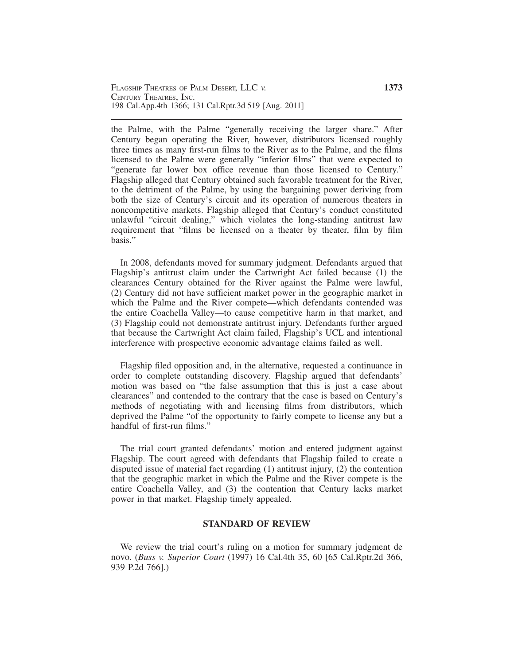the Palme, with the Palme "generally receiving the larger share." After Century began operating the River, however, distributors licensed roughly three times as many first-run films to the River as to the Palme, and the films licensed to the Palme were generally "inferior films" that were expected to "generate far lower box office revenue than those licensed to Century." Flagship alleged that Century obtained such favorable treatment for the River, to the detriment of the Palme, by using the bargaining power deriving from both the size of Century's circuit and its operation of numerous theaters in noncompetitive markets. Flagship alleged that Century's conduct constituted unlawful "circuit dealing," which violates the long-standing antitrust law requirement that "films be licensed on a theater by theater, film by film basis."

In 2008, defendants moved for summary judgment. Defendants argued that Flagship's antitrust claim under the Cartwright Act failed because (1) the clearances Century obtained for the River against the Palme were lawful, (2) Century did not have sufficient market power in the geographic market in which the Palme and the River compete—which defendants contended was the entire Coachella Valley—to cause competitive harm in that market, and (3) Flagship could not demonstrate antitrust injury. Defendants further argued that because the Cartwright Act claim failed, Flagship's UCL and intentional interference with prospective economic advantage claims failed as well.

Flagship filed opposition and, in the alternative, requested a continuance in order to complete outstanding discovery. Flagship argued that defendants' motion was based on "the false assumption that this is just a case about clearances" and contended to the contrary that the case is based on Century's methods of negotiating with and licensing films from distributors, which deprived the Palme "of the opportunity to fairly compete to license any but a handful of first-run films."

The trial court granted defendants' motion and entered judgment against Flagship. The court agreed with defendants that Flagship failed to create a disputed issue of material fact regarding (1) antitrust injury, (2) the contention that the geographic market in which the Palme and the River compete is the entire Coachella Valley, and (3) the contention that Century lacks market power in that market. Flagship timely appealed.

## **STANDARD OF REVIEW**

We review the trial court's ruling on a motion for summary judgment de novo. (*Buss v. Superior Court* (1997) 16 Cal.4th 35, 60 [65 Cal.Rptr.2d 366, 939 P.2d 766].)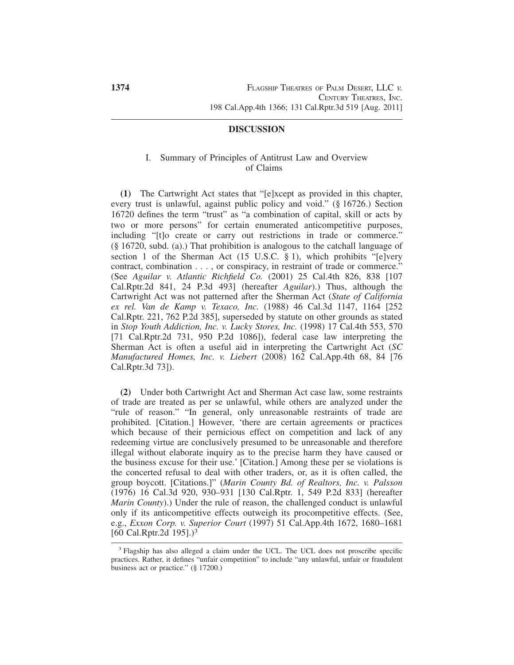## **DISCUSSION**

## I. Summary of Principles of Antitrust Law and Overview of Claims

**(1)** The Cartwright Act states that "[e]xcept as provided in this chapter, every trust is unlawful, against public policy and void." (§ 16726.) Section 16720 defines the term "trust" as "a combination of capital, skill or acts by two or more persons" for certain enumerated anticompetitive purposes, including "[t]o create or carry out restrictions in trade or commerce." (§ 16720, subd. (a).) That prohibition is analogous to the catchall language of section 1 of the Sherman Act (15 U.S.C.  $\S$  1), which prohibits "[e]very contract, combination . . . , or conspiracy, in restraint of trade or commerce." (See *Aguilar v. Atlantic Richfield Co.* (2001) 25 Cal.4th 826, 838 [107 Cal.Rptr.2d 841, 24 P.3d 493] (hereafter *Aguilar*).) Thus, although the Cartwright Act was not patterned after the Sherman Act (*State of California ex rel. Van de Kamp v. Texaco, Inc.* (1988) 46 Cal.3d 1147, 1164 [252 Cal.Rptr. 221, 762 P.2d 385], superseded by statute on other grounds as stated in *Stop Youth Addiction, Inc. v. Lucky Stores, Inc.* (1998) 17 Cal.4th 553, 570 [71 Cal.Rptr.2d 731, 950 P.2d 1086]), federal case law interpreting the Sherman Act is often a useful aid in interpreting the Cartwright Act (*SC Manufactured Homes, Inc. v. Liebert* (2008) 162 Cal.App.4th 68, 84 [76 Cal.Rptr.3d 73]).

**(2)** Under both Cartwright Act and Sherman Act case law, some restraints of trade are treated as per se unlawful, while others are analyzed under the "rule of reason." "In general, only unreasonable restraints of trade are prohibited. [Citation.] However, 'there are certain agreements or practices which because of their pernicious effect on competition and lack of any redeeming virtue are conclusively presumed to be unreasonable and therefore illegal without elaborate inquiry as to the precise harm they have caused or the business excuse for their use.' [Citation.] Among these per se violations is the concerted refusal to deal with other traders, or, as it is often called, the group boycott. [Citations.]" (*Marin County Bd. of Realtors, Inc. v. Palsson* (1976) 16 Cal.3d 920, 930–931 [130 Cal.Rptr. 1, 549 P.2d 833] (hereafter *Marin County*).) Under the rule of reason, the challenged conduct is unlawful only if its anticompetitive effects outweigh its procompetitive effects. (See, e.g., *Exxon Corp. v. Superior Court* (1997) 51 Cal.App.4th 1672, 1680–1681 [60 Cal.Rptr.2d 195].)<sup>3</sup>

<sup>3</sup> Flagship has also alleged a claim under the UCL. The UCL does not proscribe specific practices. Rather, it defines "unfair competition" to include "any unlawful, unfair or fraudulent business act or practice." (§ 17200.)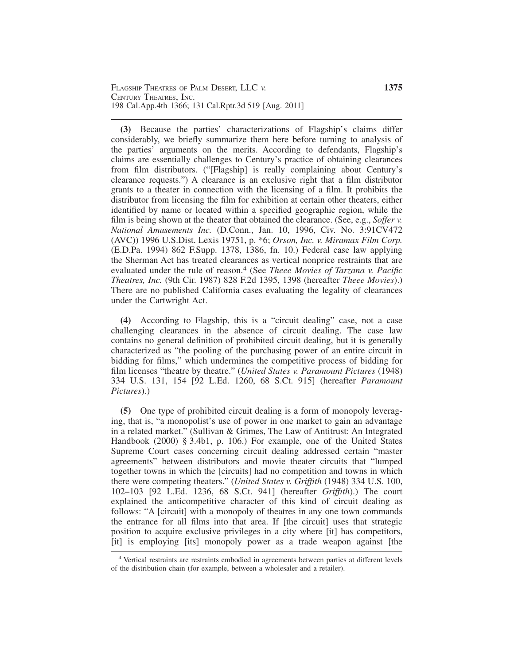**(3)** Because the parties' characterizations of Flagship's claims differ considerably, we briefly summarize them here before turning to analysis of the parties' arguments on the merits. According to defendants, Flagship's claims are essentially challenges to Century's practice of obtaining clearances from film distributors. ("[Flagship] is really complaining about Century's clearance requests.") A clearance is an exclusive right that a film distributor grants to a theater in connection with the licensing of a film. It prohibits the distributor from licensing the film for exhibition at certain other theaters, either identified by name or located within a specified geographic region, while the film is being shown at the theater that obtained the clearance. (See, e.g., *Soffer v. National Amusements Inc.* (D.Conn., Jan. 10, 1996, Civ. No. 3:91CV472 (AVC)) 1996 U.S.Dist. Lexis 19751, p. \*6; *Orson, Inc. v. Miramax Film Corp.* (E.D.Pa. 1994) 862 F.Supp. 1378, 1386, fn. 10.) Federal case law applying the Sherman Act has treated clearances as vertical nonprice restraints that are evaluated under the rule of reason.<sup>4</sup> (See *Theee Movies of Tarzana v. Pacific Theatres, Inc.* (9th Cir. 1987) 828 F.2d 1395, 1398 (hereafter *Theee Movies*).) There are no published California cases evaluating the legality of clearances under the Cartwright Act.

**(4)** According to Flagship, this is a "circuit dealing" case, not a case challenging clearances in the absence of circuit dealing. The case law contains no general definition of prohibited circuit dealing, but it is generally characterized as "the pooling of the purchasing power of an entire circuit in bidding for films," which undermines the competitive process of bidding for film licenses "theatre by theatre." (*United States v. Paramount Pictures* (1948) 334 U.S. 131, 154 [92 L.Ed. 1260, 68 S.Ct. 915] (hereafter *Paramount Pictures*).)

**(5)** One type of prohibited circuit dealing is a form of monopoly leveraging, that is, "a monopolist's use of power in one market to gain an advantage in a related market." (Sullivan & Grimes, The Law of Antitrust: An Integrated Handbook (2000) § 3.4b1, p. 106.) For example, one of the United States Supreme Court cases concerning circuit dealing addressed certain "master agreements" between distributors and movie theater circuits that "lumped together towns in which the [circuits] had no competition and towns in which there were competing theaters." (*United States v. Griffıth* (1948) 334 U.S. 100, 102–103 [92 L.Ed. 1236, 68 S.Ct. 941] (hereafter *Griffıth*).) The court explained the anticompetitive character of this kind of circuit dealing as follows: "A [circuit] with a monopoly of theatres in any one town commands the entrance for all films into that area. If [the circuit] uses that strategic position to acquire exclusive privileges in a city where [it] has competitors, [it] is employing [its] monopoly power as a trade weapon against [the

<sup>4</sup> Vertical restraints are restraints embodied in agreements between parties at different levels of the distribution chain (for example, between a wholesaler and a retailer).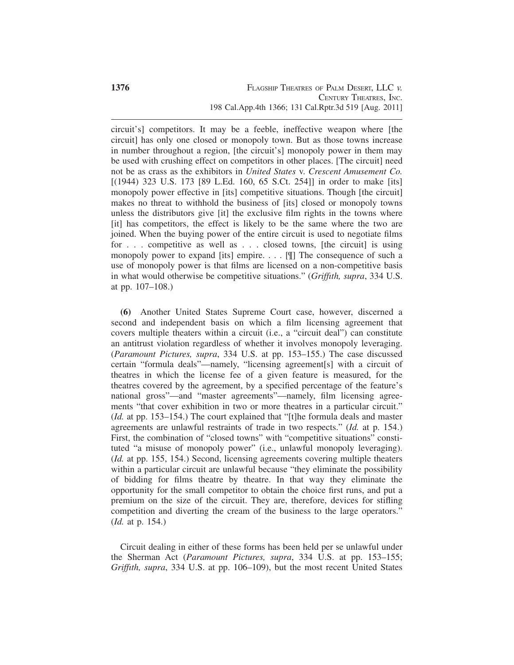circuit's] competitors. It may be a feeble, ineffective weapon where [the circuit] has only one closed or monopoly town. But as those towns increase in number throughout a region, [the circuit's] monopoly power in them may be used with crushing effect on competitors in other places. [The circuit] need not be as crass as the exhibitors in *United States* v. *Crescent Amusement Co.* [(1944) 323 U.S. 173 [89 L.Ed. 160, 65 S.Ct. 254]] in order to make [its] monopoly power effective in [its] competitive situations. Though [the circuit] makes no threat to withhold the business of [its] closed or monopoly towns unless the distributors give [it] the exclusive film rights in the towns where [it] has competitors, the effect is likely to be the same where the two are joined. When the buying power of the entire circuit is used to negotiate films for . . . competitive as well as . . . closed towns, [the circuit] is using monopoly power to expand [its] empire. . . . [¶] The consequence of such a use of monopoly power is that films are licensed on a non-competitive basis in what would otherwise be competitive situations." (*Griffıth, supra*, 334 U.S. at pp. 107–108.)

**(6)** Another United States Supreme Court case, however, discerned a second and independent basis on which a film licensing agreement that covers multiple theaters within a circuit (i.e., a "circuit deal") can constitute an antitrust violation regardless of whether it involves monopoly leveraging. (*Paramount Pictures, supra*, 334 U.S. at pp. 153–155.) The case discussed certain "formula deals"—namely, "licensing agreement[s] with a circuit of theatres in which the license fee of a given feature is measured, for the theatres covered by the agreement, by a specified percentage of the feature's national gross"—and "master agreements"—namely, film licensing agreements "that cover exhibition in two or more theatres in a particular circuit." (*Id.* at pp. 153–154.) The court explained that "[t]he formula deals and master agreements are unlawful restraints of trade in two respects." (*Id.* at p. 154.) First, the combination of "closed towns" with "competitive situations" constituted "a misuse of monopoly power" (i.e., unlawful monopoly leveraging). (*Id.* at pp. 155, 154.) Second, licensing agreements covering multiple theaters within a particular circuit are unlawful because "they eliminate the possibility of bidding for films theatre by theatre. In that way they eliminate the opportunity for the small competitor to obtain the choice first runs, and put a premium on the size of the circuit. They are, therefore, devices for stifling competition and diverting the cream of the business to the large operators." (*Id.* at p. 154.)

Circuit dealing in either of these forms has been held per se unlawful under the Sherman Act (*Paramount Pictures, supra*, 334 U.S. at pp. 153–155; *Griffıth, supra*, 334 U.S. at pp. 106–109), but the most recent United States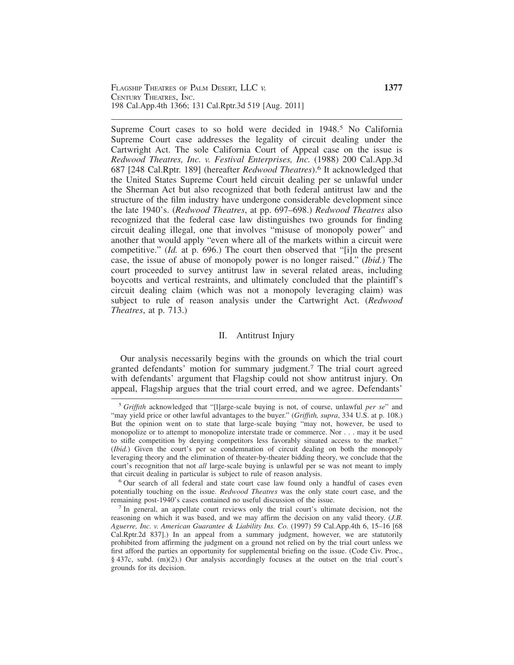Supreme Court cases to so hold were decided in 1948.<sup>5</sup> No California Supreme Court case addresses the legality of circuit dealing under the Cartwright Act. The sole California Court of Appeal case on the issue is *Redwood Theatres, Inc. v. Festival Enterprises, Inc.* (1988) 200 Cal.App.3d 687 [248 Cal.Rptr. 189] (hereafter *Redwood Theatres*).<sup>6</sup> It acknowledged that the United States Supreme Court held circuit dealing per se unlawful under the Sherman Act but also recognized that both federal antitrust law and the structure of the film industry have undergone considerable development since the late 1940's. (*Redwood Theatres*, at pp. 697–698.) *Redwood Theatres* also recognized that the federal case law distinguishes two grounds for finding circuit dealing illegal, one that involves "misuse of monopoly power" and another that would apply "even where all of the markets within a circuit were competitive." (*Id.* at p. 696.) The court then observed that "[i]n the present case, the issue of abuse of monopoly power is no longer raised." (*Ibid.*) The court proceeded to survey antitrust law in several related areas, including boycotts and vertical restraints, and ultimately concluded that the plaintiff's circuit dealing claim (which was not a monopoly leveraging claim) was subject to rule of reason analysis under the Cartwright Act. (*Redwood Theatres*, at p. 713.)

#### II. Antitrust Injury

Our analysis necessarily begins with the grounds on which the trial court granted defendants' motion for summary judgment.<sup>7</sup> The trial court agreed with defendants' argument that Flagship could not show antitrust injury. On appeal, Flagship argues that the trial court erred, and we agree. Defendants'

<sup>5</sup> *Griffıth* acknowledged that "[l]arge-scale buying is not, of course, unlawful *per se*" and "may yield price or other lawful advantages to the buyer." (*Griffıth, supra*, 334 U.S. at p. 108.) But the opinion went on to state that large-scale buying "may not, however, be used to monopolize or to attempt to monopolize interstate trade or commerce. Nor . . . may it be used to stifle competition by denying competitors less favorably situated access to the market." (*Ibid.*) Given the court's per se condemnation of circuit dealing on both the monopoly leveraging theory and the elimination of theater-by-theater bidding theory, we conclude that the court's recognition that not *all* large-scale buying is unlawful per se was not meant to imply that circuit dealing in particular is subject to rule of reason analysis.<br><sup>6</sup> Our search of all federal and state court case law found only a handful of cases even

potentially touching on the issue. *Redwood Theatres* was the only state court case, and the remaining post-1940's cases contained no useful discussion of the issue.<br><sup>7</sup> In general, an appellate court reviews only the trial court's ultimate decision, not the

reasoning on which it was based, and we may affirm the decision on any valid theory. (*J.B. Aguerre, Inc. v. American Guarantee & Liability Ins. Co.* (1997) 59 Cal.App.4th 6, 15–16 [68 Cal.Rptr.2d 837].) In an appeal from a summary judgment, however, we are statutorily prohibited from affirming the judgment on a ground not relied on by the trial court unless we first afford the parties an opportunity for supplemental briefing on the issue. (Code Civ. Proc., § 437c, subd. (m)(2).) Our analysis accordingly focuses at the outset on the trial court's grounds for its decision.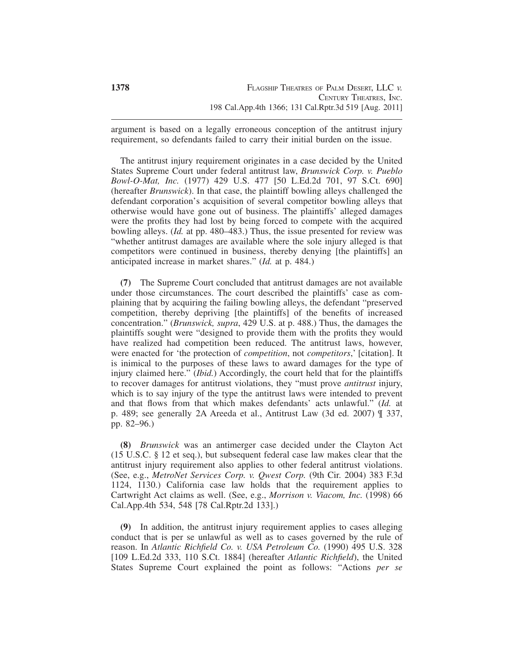argument is based on a legally erroneous conception of the antitrust injury requirement, so defendants failed to carry their initial burden on the issue.

The antitrust injury requirement originates in a case decided by the United States Supreme Court under federal antitrust law, *Brunswick Corp. v. Pueblo Bowl-O-Mat, Inc.* (1977) 429 U.S. 477 [50 L.Ed.2d 701, 97 S.Ct. 690] (hereafter *Brunswick*). In that case, the plaintiff bowling alleys challenged the defendant corporation's acquisition of several competitor bowling alleys that otherwise would have gone out of business. The plaintiffs' alleged damages were the profits they had lost by being forced to compete with the acquired bowling alleys. (*Id.* at pp. 480–483.) Thus, the issue presented for review was "whether antitrust damages are available where the sole injury alleged is that competitors were continued in business, thereby denying [the plaintiffs] an anticipated increase in market shares." (*Id.* at p. 484.)

**(7)** The Supreme Court concluded that antitrust damages are not available under those circumstances. The court described the plaintiffs' case as complaining that by acquiring the failing bowling alleys, the defendant "preserved competition, thereby depriving [the plaintiffs] of the benefits of increased concentration." (*Brunswick, supra*, 429 U.S. at p. 488.) Thus, the damages the plaintiffs sought were "designed to provide them with the profits they would have realized had competition been reduced. The antitrust laws, however, were enacted for 'the protection of *competition*, not *competitors*,' [citation]. It is inimical to the purposes of these laws to award damages for the type of injury claimed here." (*Ibid.*) Accordingly, the court held that for the plaintiffs to recover damages for antitrust violations, they "must prove *antitrust* injury, which is to say injury of the type the antitrust laws were intended to prevent and that flows from that which makes defendants' acts unlawful." (*Id.* at p. 489; see generally 2A Areeda et al., Antitrust Law (3d ed. 2007) ¶ 337, pp. 82–96.)

**(8)** *Brunswick* was an antimerger case decided under the Clayton Act (15 U.S.C. § 12 et seq.), but subsequent federal case law makes clear that the antitrust injury requirement also applies to other federal antitrust violations. (See, e.g., *MetroNet Services Corp. v. Qwest Corp.* (9th Cir. 2004) 383 F.3d 1124, 1130.) California case law holds that the requirement applies to Cartwright Act claims as well. (See, e.g., *Morrison v. Viacom, Inc.* (1998) 66 Cal.App.4th 534, 548 [78 Cal.Rptr.2d 133].)

**(9)** In addition, the antitrust injury requirement applies to cases alleging conduct that is per se unlawful as well as to cases governed by the rule of reason. In *Atlantic Richfield Co. v. USA Petroleum Co.* (1990) 495 U.S. 328 [109 L.Ed.2d 333, 110 S.Ct. 1884] (hereafter *Atlantic Richfield*), the United States Supreme Court explained the point as follows: "Actions *per se*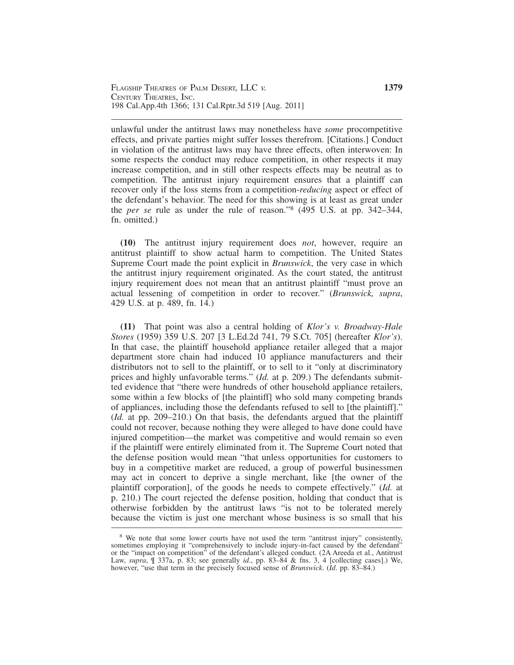unlawful under the antitrust laws may nonetheless have *some* procompetitive effects, and private parties might suffer losses therefrom. [Citations.] Conduct in violation of the antitrust laws may have three effects, often interwoven: In some respects the conduct may reduce competition, in other respects it may increase competition, and in still other respects effects may be neutral as to competition. The antitrust injury requirement ensures that a plaintiff can recover only if the loss stems from a competition-*reducing* aspect or effect of the defendant's behavior. The need for this showing is at least as great under the *per se* rule as under the rule of reason."<sup>8</sup> (495 U.S. at pp. 342–344, fn. omitted.)

**(10)** The antitrust injury requirement does *not*, however, require an antitrust plaintiff to show actual harm to competition. The United States Supreme Court made the point explicit in *Brunswick*, the very case in which the antitrust injury requirement originated. As the court stated, the antitrust injury requirement does not mean that an antitrust plaintiff "must prove an actual lessening of competition in order to recover." (*Brunswick, supra*, 429 U.S. at p. 489, fn. 14.)

**(11)** That point was also a central holding of *Klor's v. Broadway-Hale Stores* (1959) 359 U.S. 207 [3 L.Ed.2d 741, 79 S.Ct. 705] (hereafter *Klor's*). In that case, the plaintiff household appliance retailer alleged that a major department store chain had induced 10 appliance manufacturers and their distributors not to sell to the plaintiff, or to sell to it "only at discriminatory prices and highly unfavorable terms." (*Id.* at p. 209.) The defendants submitted evidence that "there were hundreds of other household appliance retailers, some within a few blocks of [the plaintiff] who sold many competing brands of appliances, including those the defendants refused to sell to [the plaintiff]." (*Id.* at pp. 209–210.) On that basis, the defendants argued that the plaintiff could not recover, because nothing they were alleged to have done could have injured competition—the market was competitive and would remain so even if the plaintiff were entirely eliminated from it. The Supreme Court noted that the defense position would mean "that unless opportunities for customers to buy in a competitive market are reduced, a group of powerful businessmen may act in concert to deprive a single merchant, like [the owner of the plaintiff corporation], of the goods he needs to compete effectively." (*Id.* at p. 210.) The court rejected the defense position, holding that conduct that is otherwise forbidden by the antitrust laws "is not to be tolerated merely because the victim is just one merchant whose business is so small that his

<sup>&</sup>lt;sup>8</sup> We note that some lower courts have not used the term "antitrust injury" consistently, sometimes employing it "comprehensively to include injury-in-fact caused by the defendant" or the "impact on competition" of the defendant's alleged conduct. (2A Areeda et al., Antitrust Law, *supra*, ¶ 337a, p. 83; see generally *id*., pp. 83–84 & fns. 3, 4 [collecting cases].) We, however, "use that term in the precisely focused sense of *Brunswick*. (*Id*. pp. 83–84.)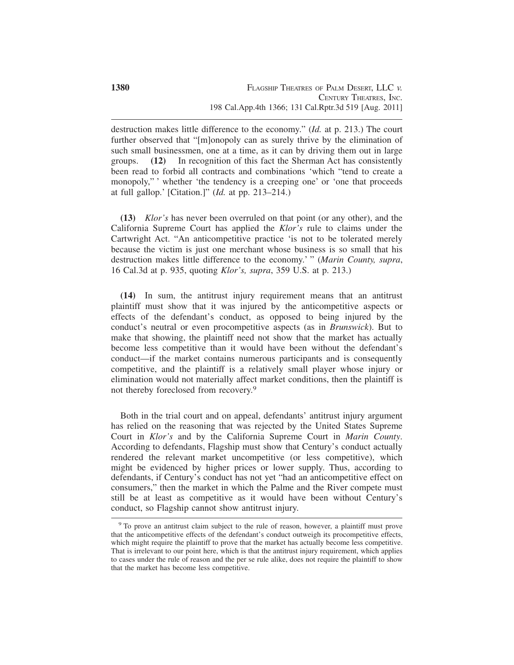destruction makes little difference to the economy." (*Id.* at p. 213.) The court further observed that "[m]onopoly can as surely thrive by the elimination of such small businessmen, one at a time, as it can by driving them out in large groups. **(12)** In recognition of this fact the Sherman Act has consistently been read to forbid all contracts and combinations 'which "tend to create a monopoly," ' whether 'the tendency is a creeping one' or 'one that proceeds at full gallop.' [Citation.]" (*Id.* at pp. 213–214.)

**(13)** *Klor's* has never been overruled on that point (or any other), and the California Supreme Court has applied the *Klor's* rule to claims under the Cartwright Act. "An anticompetitive practice 'is not to be tolerated merely because the victim is just one merchant whose business is so small that his destruction makes little difference to the economy.' " (*Marin County, supra*, 16 Cal.3d at p. 935, quoting *Klor's, supra*, 359 U.S. at p. 213.)

**(14)** In sum, the antitrust injury requirement means that an antitrust plaintiff must show that it was injured by the anticompetitive aspects or effects of the defendant's conduct, as opposed to being injured by the conduct's neutral or even procompetitive aspects (as in *Brunswick*). But to make that showing, the plaintiff need not show that the market has actually become less competitive than it would have been without the defendant's conduct—if the market contains numerous participants and is consequently competitive, and the plaintiff is a relatively small player whose injury or elimination would not materially affect market conditions, then the plaintiff is not thereby foreclosed from recovery.9

Both in the trial court and on appeal, defendants' antitrust injury argument has relied on the reasoning that was rejected by the United States Supreme Court in *Klor's* and by the California Supreme Court in *Marin County*. According to defendants, Flagship must show that Century's conduct actually rendered the relevant market uncompetitive (or less competitive), which might be evidenced by higher prices or lower supply. Thus, according to defendants, if Century's conduct has not yet "had an anticompetitive effect on consumers," then the market in which the Palme and the River compete must still be at least as competitive as it would have been without Century's conduct, so Flagship cannot show antitrust injury.

<sup>&</sup>lt;sup>9</sup> To prove an antitrust claim subject to the rule of reason, however, a plaintiff must prove that the anticompetitive effects of the defendant's conduct outweigh its procompetitive effects, which might require the plaintiff to prove that the market has actually become less competitive. That is irrelevant to our point here, which is that the antitrust injury requirement, which applies to cases under the rule of reason and the per se rule alike, does not require the plaintiff to show that the market has become less competitive.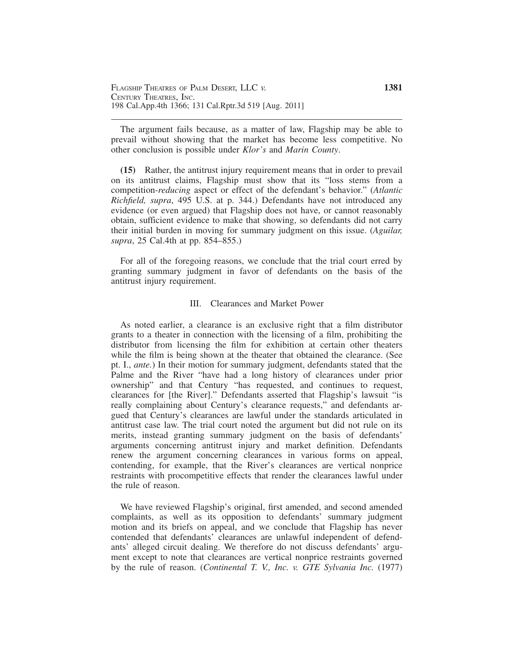The argument fails because, as a matter of law, Flagship may be able to prevail without showing that the market has become less competitive. No other conclusion is possible under *Klor's* and *Marin County*.

**(15)** Rather, the antitrust injury requirement means that in order to prevail on its antitrust claims, Flagship must show that its "loss stems from a competition-*reducing* aspect or effect of the defendant's behavior." (*Atlantic Richfield, supra*, 495 U.S. at p. 344.) Defendants have not introduced any evidence (or even argued) that Flagship does not have, or cannot reasonably obtain, sufficient evidence to make that showing, so defendants did not carry their initial burden in moving for summary judgment on this issue. (*Aguilar, supra*, 25 Cal.4th at pp. 854–855.)

For all of the foregoing reasons, we conclude that the trial court erred by granting summary judgment in favor of defendants on the basis of the antitrust injury requirement.

### III. Clearances and Market Power

As noted earlier, a clearance is an exclusive right that a film distributor grants to a theater in connection with the licensing of a film, prohibiting the distributor from licensing the film for exhibition at certain other theaters while the film is being shown at the theater that obtained the clearance. (See pt. I., *ante.*) In their motion for summary judgment, defendants stated that the Palme and the River "have had a long history of clearances under prior ownership" and that Century "has requested, and continues to request, clearances for [the River]." Defendants asserted that Flagship's lawsuit "is really complaining about Century's clearance requests," and defendants argued that Century's clearances are lawful under the standards articulated in antitrust case law. The trial court noted the argument but did not rule on its merits, instead granting summary judgment on the basis of defendants' arguments concerning antitrust injury and market definition. Defendants renew the argument concerning clearances in various forms on appeal, contending, for example, that the River's clearances are vertical nonprice restraints with procompetitive effects that render the clearances lawful under the rule of reason.

We have reviewed Flagship's original, first amended, and second amended complaints, as well as its opposition to defendants' summary judgment motion and its briefs on appeal, and we conclude that Flagship has never contended that defendants' clearances are unlawful independent of defendants' alleged circuit dealing. We therefore do not discuss defendants' argument except to note that clearances are vertical nonprice restraints governed by the rule of reason. (*Continental T. V., Inc. v. GTE Sylvania Inc.* (1977)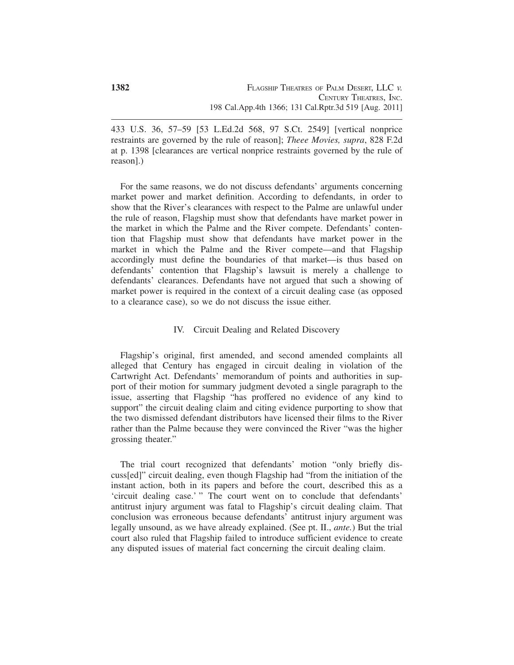433 U.S. 36, 57–59 [53 L.Ed.2d 568, 97 S.Ct. 2549] [vertical nonprice restraints are governed by the rule of reason]; *Theee Movies, supra*, 828 F.2d at p. 1398 [clearances are vertical nonprice restraints governed by the rule of reason].)

For the same reasons, we do not discuss defendants' arguments concerning market power and market definition. According to defendants, in order to show that the River's clearances with respect to the Palme are unlawful under the rule of reason, Flagship must show that defendants have market power in the market in which the Palme and the River compete. Defendants' contention that Flagship must show that defendants have market power in the market in which the Palme and the River compete—and that Flagship accordingly must define the boundaries of that market—is thus based on defendants' contention that Flagship's lawsuit is merely a challenge to defendants' clearances. Defendants have not argued that such a showing of market power is required in the context of a circuit dealing case (as opposed to a clearance case), so we do not discuss the issue either.

## IV. Circuit Dealing and Related Discovery

Flagship's original, first amended, and second amended complaints all alleged that Century has engaged in circuit dealing in violation of the Cartwright Act. Defendants' memorandum of points and authorities in support of their motion for summary judgment devoted a single paragraph to the issue, asserting that Flagship "has proffered no evidence of any kind to support" the circuit dealing claim and citing evidence purporting to show that the two dismissed defendant distributors have licensed their films to the River rather than the Palme because they were convinced the River "was the higher grossing theater."

The trial court recognized that defendants' motion "only briefly discuss[ed]" circuit dealing, even though Flagship had "from the initiation of the instant action, both in its papers and before the court, described this as a 'circuit dealing case.' " The court went on to conclude that defendants' antitrust injury argument was fatal to Flagship's circuit dealing claim. That conclusion was erroneous because defendants' antitrust injury argument was legally unsound, as we have already explained. (See pt. II., *ante.*) But the trial court also ruled that Flagship failed to introduce sufficient evidence to create any disputed issues of material fact concerning the circuit dealing claim.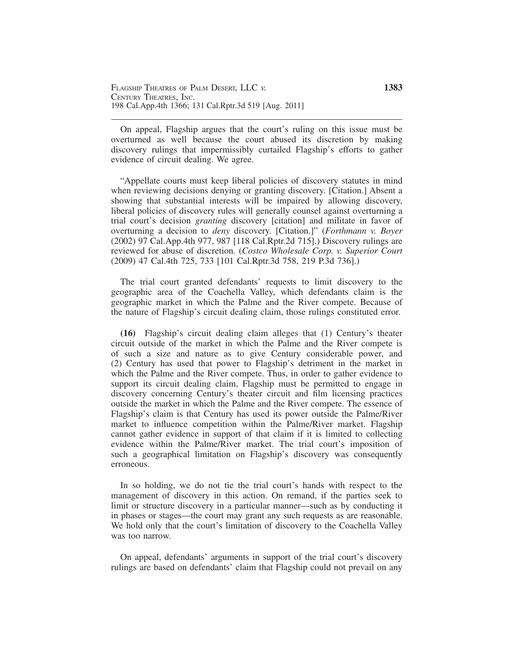On appeal, Flagship argues that the court's ruling on this issue must be overturned as well because the court abused its discretion by making discovery rulings that impermissibly curtailed Flagship's efforts to gather evidence of circuit dealing. We agree.

"Appellate courts must keep liberal policies of discovery statutes in mind when reviewing decisions denying or granting discovery. [Citation.] Absent a showing that substantial interests will be impaired by allowing discovery, liberal policies of discovery rules will generally counsel against overturning a trial court's decision *granting* discovery [citation] and militate in favor of overturning a decision to *deny* discovery. [Citation.]" (*Forthmann v. Boyer* (2002) 97 Cal.App.4th 977, 987 [118 Cal.Rptr.2d 715].) Discovery rulings are reviewed for abuse of discretion. (*Costco Wholesale Corp. v. Superior Court* (2009) 47 Cal.4th 725, 733 [101 Cal.Rptr.3d 758, 219 P.3d 736].)

The trial court granted defendants' requests to limit discovery to the geographic area of the Coachella Valley, which defendants claim is the geographic market in which the Palme and the River compete. Because of the nature of Flagship's circuit dealing claim, those rulings constituted error.

**(16)** Flagship's circuit dealing claim alleges that (1) Century's theater circuit outside of the market in which the Palme and the River compete is of such a size and nature as to give Century considerable power, and (2) Century has used that power to Flagship's detriment in the market in which the Palme and the River compete. Thus, in order to gather evidence to support its circuit dealing claim, Flagship must be permitted to engage in discovery concerning Century's theater circuit and film licensing practices outside the market in which the Palme and the River compete. The essence of Flagship's claim is that Century has used its power outside the Palme/River market to influence competition within the Palme/River market. Flagship cannot gather evidence in support of that claim if it is limited to collecting evidence within the Palme/River market. The trial court's imposition of such a geographical limitation on Flagship's discovery was consequently erroneous.

In so holding, we do not tie the trial court's hands with respect to the management of discovery in this action. On remand, if the parties seek to limit or structure discovery in a particular manner—such as by conducting it in phases or stages—the court may grant any such requests as are reasonable. We hold only that the court's limitation of discovery to the Coachella Valley was too narrow.

On appeal, defendants' arguments in support of the trial court's discovery rulings are based on defendants' claim that Flagship could not prevail on any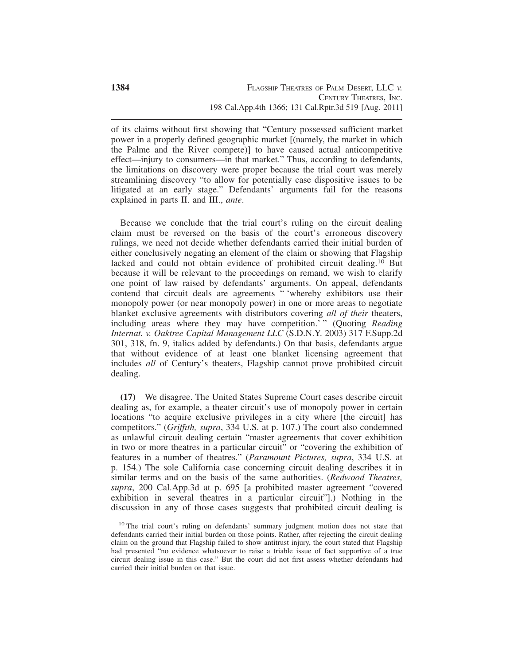of its claims without first showing that "Century possessed sufficient market power in a properly defined geographic market [(namely, the market in which the Palme and the River compete)] to have caused actual anticompetitive effect—injury to consumers—in that market." Thus, according to defendants, the limitations on discovery were proper because the trial court was merely streamlining discovery "to allow for potentially case dispositive issues to be litigated at an early stage." Defendants' arguments fail for the reasons explained in parts II. and III., *ante*.

Because we conclude that the trial court's ruling on the circuit dealing claim must be reversed on the basis of the court's erroneous discovery rulings, we need not decide whether defendants carried their initial burden of either conclusively negating an element of the claim or showing that Flagship lacked and could not obtain evidence of prohibited circuit dealing.10 But because it will be relevant to the proceedings on remand, we wish to clarify one point of law raised by defendants' arguments. On appeal, defendants contend that circuit deals are agreements " 'whereby exhibitors use their monopoly power (or near monopoly power) in one or more areas to negotiate blanket exclusive agreements with distributors covering *all of their* theaters, including areas where they may have competition.' " (Quoting *Reading Internat. v. Oaktree Capital Management LLC* (S.D.N.Y. 2003) 317 F.Supp.2d 301, 318, fn. 9, italics added by defendants.) On that basis, defendants argue that without evidence of at least one blanket licensing agreement that includes *all* of Century's theaters, Flagship cannot prove prohibited circuit dealing.

**(17)** We disagree. The United States Supreme Court cases describe circuit dealing as, for example, a theater circuit's use of monopoly power in certain locations "to acquire exclusive privileges in a city where [the circuit] has competitors." (*Griffıth, supra*, 334 U.S. at p. 107.) The court also condemned as unlawful circuit dealing certain "master agreements that cover exhibition in two or more theatres in a particular circuit" or "covering the exhibition of features in a number of theatres." (*Paramount Pictures, supra*, 334 U.S. at p. 154.) The sole California case concerning circuit dealing describes it in similar terms and on the basis of the same authorities. (*Redwood Theatres, supra*, 200 Cal.App.3d at p. 695 [a prohibited master agreement "covered exhibition in several theatres in a particular circuit"].) Nothing in the discussion in any of those cases suggests that prohibited circuit dealing is

<sup>&</sup>lt;sup>10</sup> The trial court's ruling on defendants' summary judgment motion does not state that defendants carried their initial burden on those points. Rather, after rejecting the circuit dealing claim on the ground that Flagship failed to show antitrust injury, the court stated that Flagship had presented "no evidence whatsoever to raise a triable issue of fact supportive of a true circuit dealing issue in this case." But the court did not first assess whether defendants had carried their initial burden on that issue.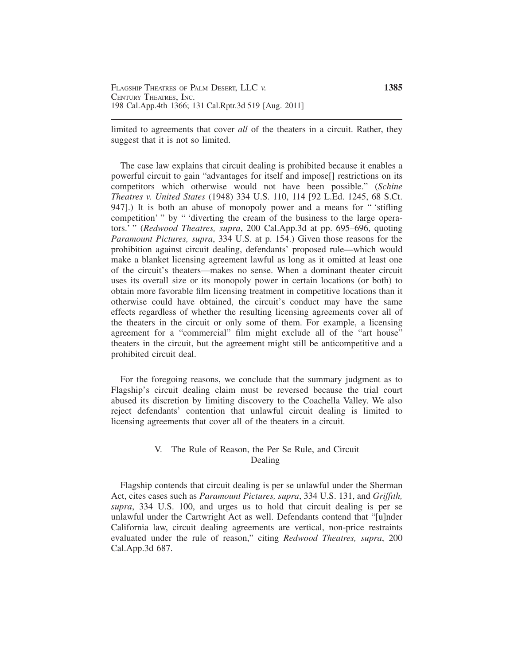limited to agreements that cover *all* of the theaters in a circuit. Rather, they suggest that it is not so limited.

The case law explains that circuit dealing is prohibited because it enables a powerful circuit to gain "advantages for itself and impose[] restrictions on its competitors which otherwise would not have been possible." (*Schine Theatres v. United States* (1948) 334 U.S. 110, 114 [92 L.Ed. 1245, 68 S.Ct. 947].) It is both an abuse of monopoly power and a means for " 'stifling competition' " by " 'diverting the cream of the business to the large operators.' " (*Redwood Theatres, supra*, 200 Cal.App.3d at pp. 695–696, quoting *Paramount Pictures, supra*, 334 U.S. at p. 154.) Given those reasons for the prohibition against circuit dealing, defendants' proposed rule—which would make a blanket licensing agreement lawful as long as it omitted at least one of the circuit's theaters—makes no sense. When a dominant theater circuit uses its overall size or its monopoly power in certain locations (or both) to obtain more favorable film licensing treatment in competitive locations than it otherwise could have obtained, the circuit's conduct may have the same effects regardless of whether the resulting licensing agreements cover all of the theaters in the circuit or only some of them. For example, a licensing agreement for a "commercial" film might exclude all of the "art house" theaters in the circuit, but the agreement might still be anticompetitive and a prohibited circuit deal.

For the foregoing reasons, we conclude that the summary judgment as to Flagship's circuit dealing claim must be reversed because the trial court abused its discretion by limiting discovery to the Coachella Valley. We also reject defendants' contention that unlawful circuit dealing is limited to licensing agreements that cover all of the theaters in a circuit.

# V. The Rule of Reason, the Per Se Rule, and Circuit Dealing

Flagship contends that circuit dealing is per se unlawful under the Sherman Act, cites cases such as *Paramount Pictures, supra*, 334 U.S. 131, and *Griffıth, supra*, 334 U.S. 100, and urges us to hold that circuit dealing is per se unlawful under the Cartwright Act as well. Defendants contend that "[u]nder California law, circuit dealing agreements are vertical, non-price restraints evaluated under the rule of reason," citing *Redwood Theatres, supra*, 200 Cal.App.3d 687.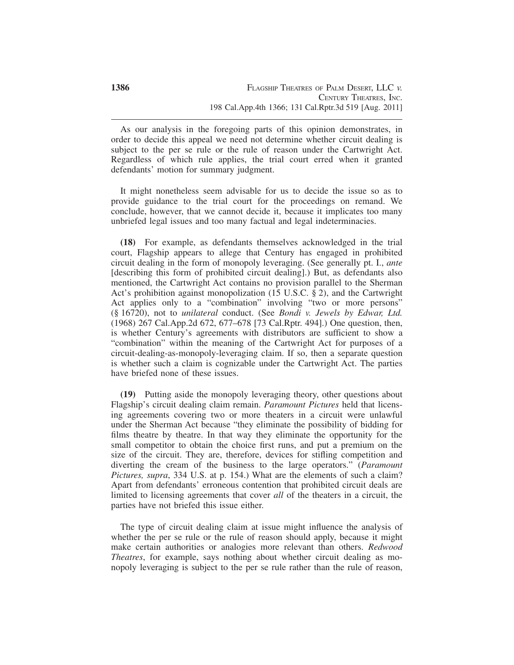As our analysis in the foregoing parts of this opinion demonstrates, in order to decide this appeal we need not determine whether circuit dealing is subject to the per se rule or the rule of reason under the Cartwright Act. Regardless of which rule applies, the trial court erred when it granted defendants' motion for summary judgment.

It might nonetheless seem advisable for us to decide the issue so as to provide guidance to the trial court for the proceedings on remand. We conclude, however, that we cannot decide it, because it implicates too many unbriefed legal issues and too many factual and legal indeterminacies.

**(18)** For example, as defendants themselves acknowledged in the trial court, Flagship appears to allege that Century has engaged in prohibited circuit dealing in the form of monopoly leveraging. (See generally pt. I., *ante* [describing this form of prohibited circuit dealing].) But, as defendants also mentioned, the Cartwright Act contains no provision parallel to the Sherman Act's prohibition against monopolization (15 U.S.C. § 2), and the Cartwright Act applies only to a "combination" involving "two or more persons" (§ 16720), not to *unilateral* conduct. (See *Bondi v. Jewels by Edwar, Ltd.* (1968) 267 Cal.App.2d 672, 677–678 [73 Cal.Rptr. 494].) One question, then, is whether Century's agreements with distributors are sufficient to show a "combination" within the meaning of the Cartwright Act for purposes of a circuit-dealing-as-monopoly-leveraging claim. If so, then a separate question is whether such a claim is cognizable under the Cartwright Act. The parties have briefed none of these issues.

**(19)** Putting aside the monopoly leveraging theory, other questions about Flagship's circuit dealing claim remain. *Paramount Pictures* held that licensing agreements covering two or more theaters in a circuit were unlawful under the Sherman Act because "they eliminate the possibility of bidding for films theatre by theatre. In that way they eliminate the opportunity for the small competitor to obtain the choice first runs, and put a premium on the size of the circuit. They are, therefore, devices for stifling competition and diverting the cream of the business to the large operators." (*Paramount Pictures, supra*, 334 U.S. at p. 154.) What are the elements of such a claim? Apart from defendants' erroneous contention that prohibited circuit deals are limited to licensing agreements that cover *all* of the theaters in a circuit, the parties have not briefed this issue either.

The type of circuit dealing claim at issue might influence the analysis of whether the per se rule or the rule of reason should apply, because it might make certain authorities or analogies more relevant than others. *Redwood Theatres*, for example, says nothing about whether circuit dealing as monopoly leveraging is subject to the per se rule rather than the rule of reason,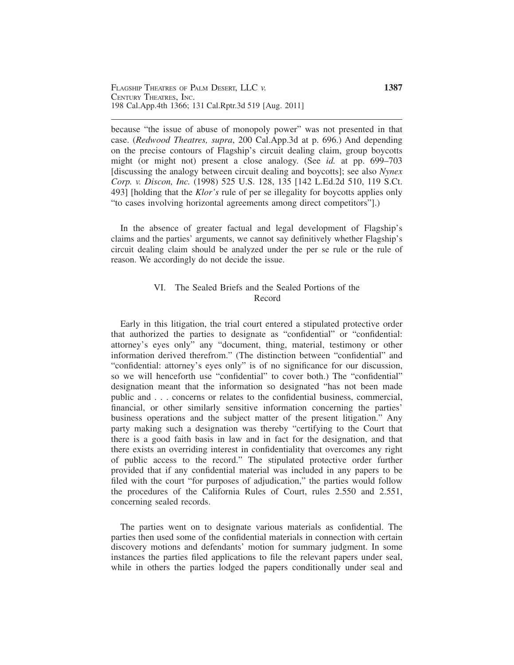because "the issue of abuse of monopoly power" was not presented in that case. (*Redwood Theatres, supra*, 200 Cal.App.3d at p. 696.) And depending on the precise contours of Flagship's circuit dealing claim, group boycotts might (or might not) present a close analogy. (See *id.* at pp. 699–703 [discussing the analogy between circuit dealing and boycotts]; see also *Nynex Corp. v. Discon, Inc.* (1998) 525 U.S. 128, 135 [142 L.Ed.2d 510, 119 S.Ct. 493] [holding that the *Klor's* rule of per se illegality for boycotts applies only "to cases involving horizontal agreements among direct competitors"].)

In the absence of greater factual and legal development of Flagship's claims and the parties' arguments, we cannot say definitively whether Flagship's circuit dealing claim should be analyzed under the per se rule or the rule of reason. We accordingly do not decide the issue.

# VI. The Sealed Briefs and the Sealed Portions of the Record

Early in this litigation, the trial court entered a stipulated protective order that authorized the parties to designate as "confidential" or "confidential: attorney's eyes only" any "document, thing, material, testimony or other information derived therefrom." (The distinction between "confidential" and "confidential: attorney's eyes only" is of no significance for our discussion, so we will henceforth use "confidential" to cover both.) The "confidential" designation meant that the information so designated "has not been made public and . . . concerns or relates to the confidential business, commercial, financial, or other similarly sensitive information concerning the parties' business operations and the subject matter of the present litigation." Any party making such a designation was thereby "certifying to the Court that there is a good faith basis in law and in fact for the designation, and that there exists an overriding interest in confidentiality that overcomes any right of public access to the record." The stipulated protective order further provided that if any confidential material was included in any papers to be filed with the court "for purposes of adjudication," the parties would follow the procedures of the California Rules of Court, rules 2.550 and 2.551, concerning sealed records.

The parties went on to designate various materials as confidential. The parties then used some of the confidential materials in connection with certain discovery motions and defendants' motion for summary judgment. In some instances the parties filed applications to file the relevant papers under seal, while in others the parties lodged the papers conditionally under seal and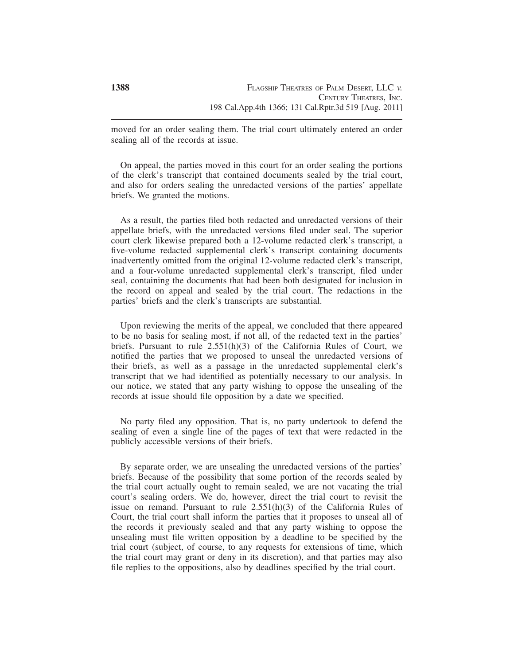moved for an order sealing them. The trial court ultimately entered an order sealing all of the records at issue.

On appeal, the parties moved in this court for an order sealing the portions of the clerk's transcript that contained documents sealed by the trial court, and also for orders sealing the unredacted versions of the parties' appellate briefs. We granted the motions.

As a result, the parties filed both redacted and unredacted versions of their appellate briefs, with the unredacted versions filed under seal. The superior court clerk likewise prepared both a 12-volume redacted clerk's transcript, a five-volume redacted supplemental clerk's transcript containing documents inadvertently omitted from the original 12-volume redacted clerk's transcript, and a four-volume unredacted supplemental clerk's transcript, filed under seal, containing the documents that had been both designated for inclusion in the record on appeal and sealed by the trial court. The redactions in the parties' briefs and the clerk's transcripts are substantial.

Upon reviewing the merits of the appeal, we concluded that there appeared to be no basis for sealing most, if not all, of the redacted text in the parties' briefs. Pursuant to rule  $2.551(h)(3)$  of the California Rules of Court, we notified the parties that we proposed to unseal the unredacted versions of their briefs, as well as a passage in the unredacted supplemental clerk's transcript that we had identified as potentially necessary to our analysis. In our notice, we stated that any party wishing to oppose the unsealing of the records at issue should file opposition by a date we specified.

No party filed any opposition. That is, no party undertook to defend the sealing of even a single line of the pages of text that were redacted in the publicly accessible versions of their briefs.

By separate order, we are unsealing the unredacted versions of the parties' briefs. Because of the possibility that some portion of the records sealed by the trial court actually ought to remain sealed, we are not vacating the trial court's sealing orders. We do, however, direct the trial court to revisit the issue on remand. Pursuant to rule 2.551(h)(3) of the California Rules of Court, the trial court shall inform the parties that it proposes to unseal all of the records it previously sealed and that any party wishing to oppose the unsealing must file written opposition by a deadline to be specified by the trial court (subject, of course, to any requests for extensions of time, which the trial court may grant or deny in its discretion), and that parties may also file replies to the oppositions, also by deadlines specified by the trial court.